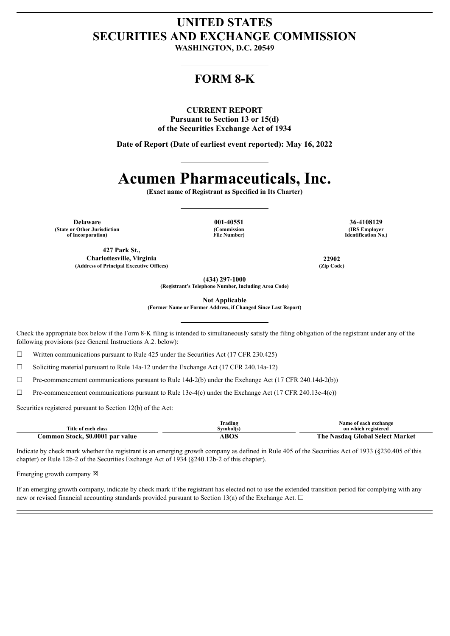# **UNITED STATES SECURITIES AND EXCHANGE COMMISSION**

**WASHINGTON, D.C. 20549**

# **FORM 8-K**

## **CURRENT REPORT**

**Pursuant to Section 13 or 15(d) of the Securities Exchange Act of 1934**

**Date of Report (Date of earliest event reported): May 16, 2022**

# **Acumen Pharmaceuticals, Inc.**

**(Exact name of Registrant as Specified in Its Charter)**

**Delaware 001-40551 36-4108129 (State or Other Jurisdiction of Incorporation)**

**427 Park St.,**

**(Commission File Number)**

**(IRS Employer Identification No.)**

**Charlottesville, Virginia 22902 (Address of Principal Executive Offices) (Zip Code)**

**(434) 297-1000**

**(Registrant's Telephone Number, Including Area Code)**

**Not Applicable**

**(Former Name or Former Address, if Changed Since Last Report)**

Check the appropriate box below if the Form 8-K filing is intended to simultaneously satisfy the filing obligation of the registrant under any of the following provisions (see General Instructions A.2. below):

☐ Written communications pursuant to Rule 425 under the Securities Act (17 CFR 230.425)

☐ Soliciting material pursuant to Rule 14a-12 under the Exchange Act (17 CFR 240.14a-12)

☐ Pre-commencement communications pursuant to Rule 14d-2(b) under the Exchange Act (17 CFR 240.14d-2(b))

 $\Box$  Pre-commencement communications pursuant to Rule 13e-4(c) under the Exchange Act (17 CFR 240.13e-4(c))

Securities registered pursuant to Section 12(b) of the Act:

| Title of each class              | Trading<br>Svmbol(s) | Name of each exchange<br>on which registered |
|----------------------------------|----------------------|----------------------------------------------|
| Common Stock, \$0.0001 par value | ABOS                 | The Nasdaq Global Select Market              |

Indicate by check mark whether the registrant is an emerging growth company as defined in Rule 405 of the Securities Act of 1933 (§230.405 of this chapter) or Rule 12b-2 of the Securities Exchange Act of 1934 (§240.12b-2 of this chapter).

Emerging growth company  $\boxtimes$ 

If an emerging growth company, indicate by check mark if the registrant has elected not to use the extended transition period for complying with any new or revised financial accounting standards provided pursuant to Section 13(a) of the Exchange Act.  $\Box$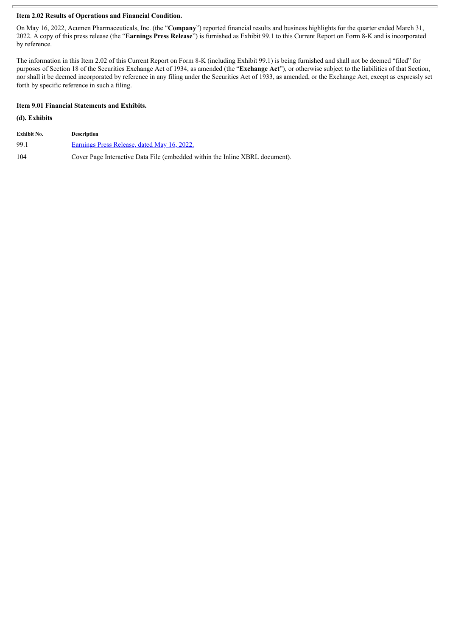# **Item 2.02 Results of Operations and Financial Condition.**

On May 16, 2022, Acumen Pharmaceuticals, Inc. (the "**Company**") reported financial results and business highlights for the quarter ended March 31, 2022. A copy of this press release (the "**Earnings Press Release**") is furnished as Exhibit 99.1 to this Current Report on Form 8-K and is incorporated by reference.

The information in this Item 2.02 of this Current Report on Form 8-K (including Exhibit 99.1) is being furnished and shall not be deemed "filed" for purposes of Section 18 of the Securities Exchange Act of 1934, as amended (the "**Exchange Act**"), or otherwise subject to the liabilities of that Section, nor shall it be deemed incorporated by reference in any filing under the Securities Act of 1933, as amended, or the Exchange Act, except as expressly set forth by specific reference in such a filing.

# **Item 9.01 Financial Statements and Exhibits.**

# **(d). Exhibits**

| Exhibit No. | <b>Description</b>                                                           |
|-------------|------------------------------------------------------------------------------|
| 99.1        | Earnings Press Release, dated May 16, 2022.                                  |
| 104         | Cover Page Interactive Data File (embedded within the Inline XBRL document). |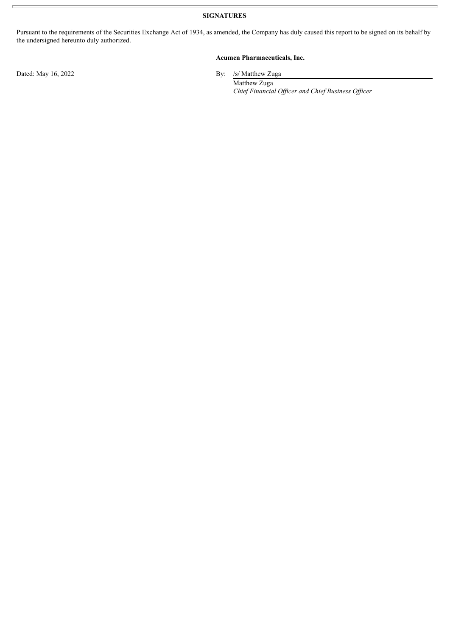**SIGNATURES**

Pursuant to the requirements of the Securities Exchange Act of 1934, as amended, the Company has duly caused this report to be signed on its behalf by the undersigned hereunto duly authorized.

# **Acumen Pharmaceuticals, Inc.**

Dated: May 16, 2022 By: /s/ Matthew Zuga

Matthew Zuga *Chief Financial Of icer and Chief Business Of icer*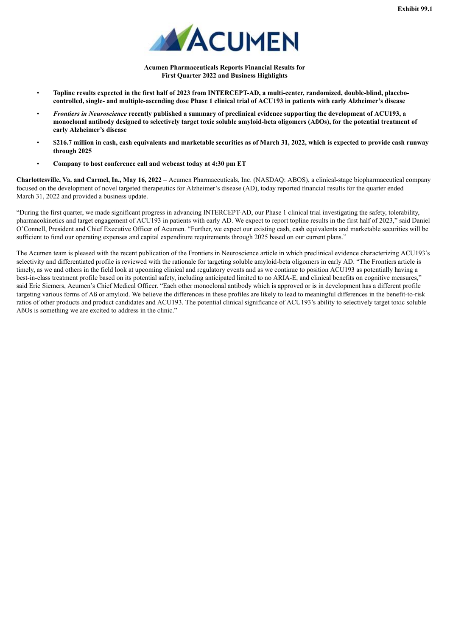

**Acumen Pharmaceuticals Reports Financial Results for First Quarter 2022 and Business Highlights**

- <span id="page-3-0"></span>Topline results expected in the first half of 2023 from INTERCEPT-AD, a multi-center, randomized, double-blind, placebocontrolled, single- and multiple-ascending dose Phase 1 clinical trial of ACU193 in patients with early Alzheimer's disease
- Frontiers in Neuroscience recently published a summary of preclinical evidence supporting the development of ACU193, a monoclonal antibody designed to selectively target toxic soluble amyloid-beta oligomers (ABOs), for the potential treatment of **early Alzheimer's disease**
- \$216.7 million in cash, cash equivalents and marketable securities as of March 31, 2022, which is expected to provide cash runway **through 2025**
- **Company to host conference call and webcast today at 4:30 pm ET**

**Charlottesville, Va. and Carmel, In., May 16, 2022** – Acumen Pharmaceuticals, Inc. (NASDAQ: ABOS), a clinical-stage biopharmaceutical company focused on the development of novel targeted therapeutics for Alzheimer's disease (AD), today reported financial results for the quarter ended March 31, 2022 and provided a business update.

"During the first quarter, we made significant progress in advancing INTERCEPT-AD, our Phase 1 clinical trial investigating the safety, tolerability, pharmacokinetics and target engagement of ACU193 in patients with early AD. We expect to report topline results in the first half of 2023," said Daniel O'Connell, President and Chief Executive Officer of Acumen. "Further, we expect our existing cash, cash equivalents and marketable securities will be sufficient to fund our operating expenses and capital expenditure requirements through 2025 based on our current plans."

The Acumen team is pleased with the recent publication of the Frontiers in Neuroscience article in which preclinical evidence characterizing ACU193's selectivity and differentiated profile is reviewed with the rationale for targeting soluble amyloid-beta oligomers in early AD. "The Frontiers article is timely, as we and others in the field look at upcoming clinical and regulatory events and as we continue to position ACU193 as potentially having a best-in-class treatment profile based on its potential safety, including anticipated limited to no ARIA-E, and clinical benefits on cognitive measures," said Eric Siemers, Acumen's Chief Medical Officer. "Each other monoclonal antibody which is approved or is in development has a different profile targeting various forms of Aß or amyloid. We believe the differences in these profiles are likely to lead to meaningful differences in the benefit-to-risk ratios of other products and product candidates and ACU193. The potential clinical significance of ACU193's ability to selectively target toxic soluble AßOs is something we are excited to address in the clinic."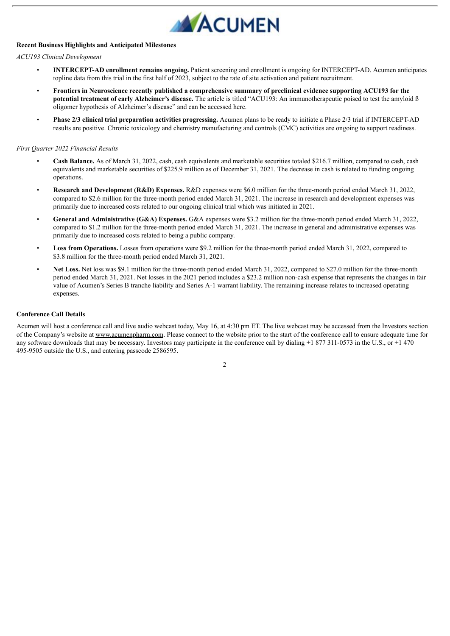

# **Recent Business Highlights and Anticipated Milestones**

# *ACU193 Clinical Development*

- **INTERCEPT-AD enrollment remains ongoing.** Patient screening and enrollment is ongoing for INTERCEPT-AD. Acumen anticipates topline data from this trial in the first half of 2023, subject to the rate of site activation and patient recruitment.
- Frontiers in Neuroscience recently published a comprehensive summary of preclinical evidence supporting ACU193 for the **potential treatment of early Alzheimer's disease.** The article is titled "ACU193: An immunotherapeutic poised to test the amyloid ß oligomer hypothesis of Alzheimer's disease" and can be accessed here.
- **Phase 2/3 clinical trial preparation activities progressing.** Acumen plans to be ready to initiate a Phase 2/3 trial if INTERCEPT-AD results are positive. Chronic toxicology and chemistry manufacturing and controls (CMC) activities are ongoing to support readiness.

#### *First Quarter 2022 Financial Results*

- **Cash Balance.** As of March 31, 2022, cash, cash equivalents and marketable securities totaled \$216.7 million, compared to cash, cash equivalents and marketable securities of \$225.9 million as of December 31, 2021. The decrease in cash is related to funding ongoing operations.
- **Research and Development (R&D) Expenses.** R&D expenses were \$6.0 million for the three-month period ended March 31, 2022, compared to \$2.6 million for the three-month period ended March 31, 2021. The increase in research and development expenses was primarily due to increased costs related to our ongoing clinical trial which was initiated in 2021.
- **General and Administrative (G&A) Expenses.** G&A expenses were \$3.2 million for the three-month period ended March 31, 2022, compared to \$1.2 million for the three-month period ended March 31, 2021. The increase in general and administrative expenses was primarily due to increased costs related to being a public company.
- **Loss from Operations.** Losses from operations were \$9.2 million for the three-month period ended March 31, 2022, compared to \$3.8 million for the three-month period ended March 31, 2021.
- **Net Loss.** Net loss was \$9.1 million for the three-month period ended March 31, 2022, compared to \$27.0 million for the three-month period ended March 31, 2021. Net losses in the 2021 period includes a \$23.2 million non-cash expense that represents the changes in fair value of Acumen's Series B tranche liability and Series A-1 warrant liability. The remaining increase relates to increased operating expenses.

#### **Conference Call Details**

Acumen will host a conference call and live audio webcast today, May 16, at 4:30 pm ET. The live webcast may be accessed from the Investors section of the Company's website at www.acumenpharm.com. Please connect to the website prior to the start of the conference call to ensure adequate time for any software downloads that may be necessary. Investors may participate in the conference call by dialing  $+1877311-0573$  in the U.S., or  $+1470$ 495-9505 outside the U.S., and entering passcode 2586595.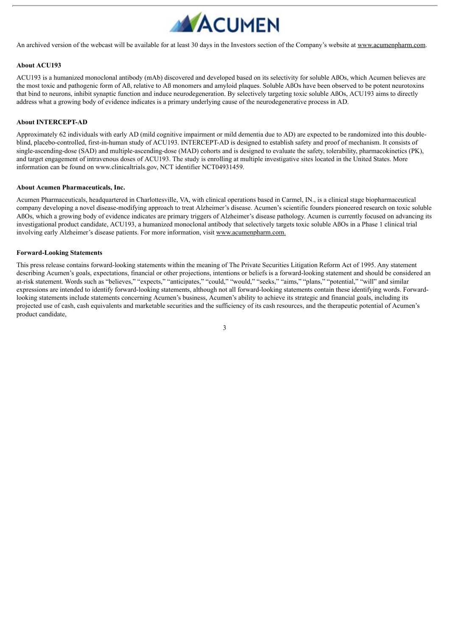

An archived version of the webcast will be available for at least 30 days in the Investors section of the Company's website at www.acumenpharm.com.

#### **About ACU193**

ACU193 is a humanized monoclonal antibody (mAb) discovered and developed based on its selectivity for soluble AßOs, which Acumen believes are the most toxic and pathogenic form of Aß, relative to Aß monomers and amyloid plaques. Soluble AßOs have been observed to be potent neurotoxins that bind to neurons, inhibit synaptic function and induce neurodegeneration. By selectively targeting toxic soluble AßOs, ACU193 aims to directly address what a growing body of evidence indicates is a primary underlying cause of the neurodegenerative process in AD.

#### **About INTERCEPT-AD**

Approximately 62 individuals with early AD (mild cognitive impairment or mild dementia due to AD) are expected to be randomized into this doubleblind, placebo-controlled, first-in-human study of ACU193. INTERCEPT-AD is designed to establish safety and proof of mechanism. It consists of single-ascending-dose (SAD) and multiple-ascending-dose (MAD) cohorts and is designed to evaluate the safety, tolerability, pharmacokinetics (PK), and target engagement of intravenous doses of ACU193. The study is enrolling at multiple investigative sites located in the United States. More information can be found on www.clinicaltrials.gov, NCT identifier NCT04931459.

## **About Acumen Pharmaceuticals, Inc.**

Acumen Pharmaceuticals, headquartered in Charlottesville, VA, with clinical operations based in Carmel, IN., is a clinical stage biopharmaceutical company developing a novel disease-modifying approach to treat Alzheimer's disease. Acumen's scientific founders pioneered research on toxic soluble AßOs, which a growing body of evidence indicates are primary triggers of Alzheimer's disease pathology. Acumen is currently focused on advancing its investigational product candidate, ACU193, a humanized monoclonal antibody that selectively targets toxic soluble AßOs in a Phase 1 clinical trial involving early Alzheimer's disease patients. For more information, visit www.acumenpharm.com.

#### **Forward-Looking Statements**

This press release contains forward-looking statements within the meaning of The Private Securities Litigation Reform Act of 1995. Any statement describing Acumen's goals, expectations, financial or other projections, intentions or beliefs is a forward-looking statement and should be considered an at-risk statement. Words such as "believes," "expects," "anticipates," "could," "would," "seeks," "aims," "plans," "potential," "will" and similar expressions are intended to identify forward-looking statements, although not all forward-looking statements contain these identifying words. Forwardlooking statements include statements concerning Acumen's business, Acumen's ability to achieve its strategic and financial goals, including its projected use of cash, cash equivalents and marketable securities and the sufficiency of its cash resources, and the therapeutic potential of Acumen's product candidate,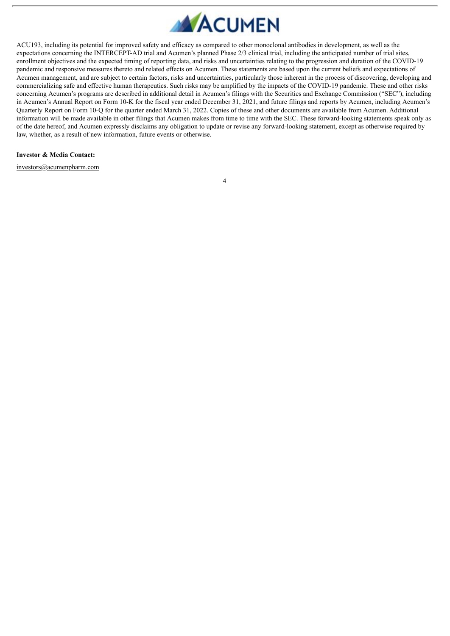

ACU193, including its potential for improved safety and efficacy as compared to other monoclonal antibodies in development, as well as the expectations concerning the INTERCEPT-AD trial and Acumen's planned Phase 2/3 clinical trial, including the anticipated number of trial sites, enrollment objectives and the expected timing of reporting data, and risks and uncertainties relating to the progression and duration of the COVID-19 pandemic and responsive measures thereto and related effects on Acumen. These statements are based upon the current beliefs and expectations of Acumen management, and are subject to certain factors, risks and uncertainties, particularly those inherent in the process of discovering, developing and commercializing safe and effective human therapeutics. Such risks may be amplified by the impacts of the COVID-19 pandemic. These and other risks concerning Acumen's programs are described in additional detail in Acumen's filings with the Securities and Exchange Commission ("SEC"), including in Acumen's Annual Report on Form 10-K for the fiscal year ended December 31, 2021, and future filings and reports by Acumen, including Acumen's Quarterly Report on Form 10-Q for the quarter ended March 31, 2022. Copies of these and other documents are available from Acumen. Additional information will be made available in other filings that Acumen makes from time to time with the SEC. These forward-looking statements speak only as of the date hereof, and Acumen expressly disclaims any obligation to update or revise any forward-looking statement, except as otherwise required by law, whether, as a result of new information, future events or otherwise.

#### **Investor & Media Contact:**

investors@acumenpharm.com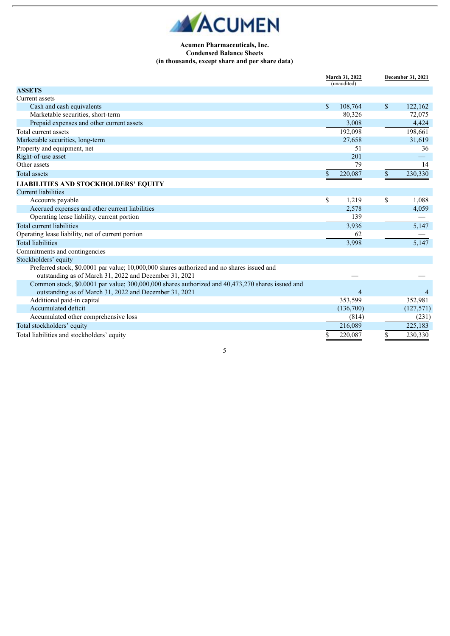

# **Acumen Pharmaceuticals, Inc. Condensed Balance Sheets (in thousands, except share and per share data)**

|                                                                                                  | March 31, 2022<br>(unaudited) |                | December 31, 2021 |  |
|--------------------------------------------------------------------------------------------------|-------------------------------|----------------|-------------------|--|
| <b>ASSETS</b>                                                                                    |                               |                |                   |  |
| Current assets                                                                                   |                               |                |                   |  |
| Cash and cash equivalents                                                                        | $\mathbb{S}$                  | 108,764        | \$<br>122,162     |  |
| Marketable securities, short-term                                                                |                               | 80,326         | 72,075            |  |
| Prepaid expenses and other current assets                                                        |                               | 3,008          | 4,424             |  |
| Total current assets                                                                             |                               | 192,098        | 198,661           |  |
| Marketable securities, long-term                                                                 |                               | 27,658         | 31,619            |  |
| Property and equipment, net                                                                      |                               | 51             | 36                |  |
| Right-of-use asset                                                                               |                               | 201            |                   |  |
| Other assets                                                                                     |                               | 79             | 14                |  |
| <b>Total assets</b>                                                                              | \$                            | 220,087        | \$<br>230,330     |  |
| <b>LIABILITIES AND STOCKHOLDERS' EQUITY</b>                                                      |                               |                |                   |  |
| <b>Current liabilities</b>                                                                       |                               |                |                   |  |
| Accounts payable                                                                                 | \$                            | 1,219          | \$<br>1,088       |  |
| Accrued expenses and other current liabilities                                                   |                               | 2,578          | 4,059             |  |
| Operating lease liability, current portion                                                       |                               | 139            |                   |  |
| Total current liabilities                                                                        |                               | 3,936          | 5,147             |  |
| Operating lease liability, net of current portion                                                |                               | 62             |                   |  |
| <b>Total liabilities</b>                                                                         |                               | 3,998          | 5,147             |  |
| Commitments and contingencies                                                                    |                               |                |                   |  |
| Stockholders' equity                                                                             |                               |                |                   |  |
| Preferred stock, \$0.0001 par value; 10,000,000 shares authorized and no shares issued and       |                               |                |                   |  |
| outstanding as of March 31, 2022 and December 31, 2021                                           |                               |                |                   |  |
| Common stock, \$0.0001 par value; 300,000,000 shares authorized and 40,473,270 shares issued and |                               |                |                   |  |
| outstanding as of March 31, 2022 and December 31, 2021                                           |                               | $\overline{4}$ |                   |  |
| Additional paid-in capital                                                                       |                               | 353,599        | 352,981           |  |
| Accumulated deficit                                                                              |                               | (136,700)      | (127, 571)        |  |
| Accumulated other comprehensive loss                                                             |                               | (814)          | (231)             |  |
| Total stockholders' equity                                                                       |                               | 216,089        | 225,183           |  |
| Total liabilities and stockholders' equity                                                       | \$                            | 220,087        | \$<br>230,330     |  |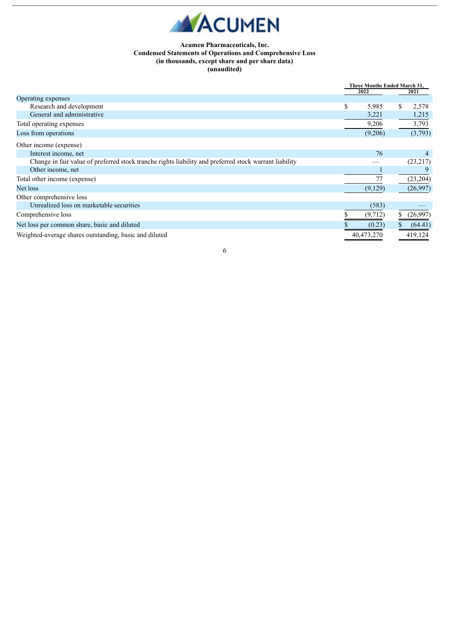

# **Acumen Pharmaceuticals, Inc. Condensed Statements of Operations and Comprehensive Loss (in thousands, except share and per share data) (unaudited)**

|                                                                                                        | 2022 |            | Three Months Ended March 31,<br>2021 |           |
|--------------------------------------------------------------------------------------------------------|------|------------|--------------------------------------|-----------|
| Operating expenses                                                                                     |      |            |                                      |           |
| Research and development                                                                               | \$   | 5,985      |                                      | 2,578     |
| General and administrative                                                                             |      | 3,221      |                                      | 1,215     |
| Total operating expenses                                                                               |      | 9,206      |                                      | 3,793     |
| Loss from operations                                                                                   |      | (9,206)    |                                      | (3,793)   |
| Other income (expense)                                                                                 |      |            |                                      |           |
| Interest income, net                                                                                   |      | 76         |                                      |           |
| Change in fair value of preferred stock tranche rights liability and preferred stock warrant liability |      |            |                                      | (23,217)  |
| Other income, net                                                                                      |      |            |                                      |           |
| Total other income (expense)                                                                           |      | 77         |                                      | (23, 204) |
| Net loss                                                                                               |      | (9,129)    |                                      | (26,997)  |
| Other comprehensive loss                                                                               |      |            |                                      |           |
| Unrealized loss on marketable securities                                                               |      | (583)      |                                      |           |
| Comprehensive loss                                                                                     |      | (9,712)    |                                      | (26,997)  |
| Net loss per common share, basic and diluted                                                           |      | (0.23)     |                                      | (64.41)   |
| Weighted-average shares outstanding, basic and diluted                                                 |      | 40,473,270 |                                      | 419,124   |